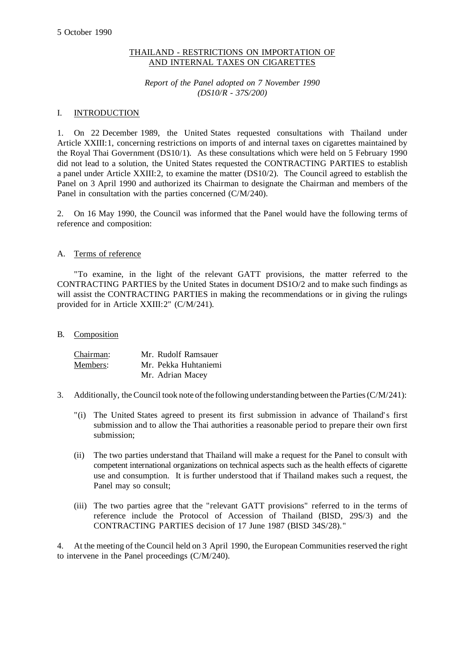# THAILAND - RESTRICTIONS ON IMPORTATION OF AND INTERNAL TAXES ON CIGARETTES

*Report of the Panel adopted on 7 November 1990 (DS10/R - 37S/200)*

## I. INTRODUCTION

1. On 22 December 1989, the United States requested consultations with Thailand under Article XXIII:1, concerning restrictions on imports of and internal taxes on cigarettes maintained by the Royal Thai Government (DS10/1). As these consultations which were held on 5 February 1990 did not lead to a solution, the United States requested the CONTRACTING PARTIES to establish a panel under Article XXIII:2, to examine the matter (DS10/2). The Council agreed to establish the Panel on 3 April 1990 and authorized its Chairman to designate the Chairman and members of the Panel in consultation with the parties concerned (C/M/240).

2. On 16 May 1990, the Council was informed that the Panel would have the following terms of reference and composition:

# A. Terms of reference

"To examine, in the light of the relevant GATT provisions, the matter referred to the CONTRACTING PARTIES by the United States in document DS1O/2 and to make such findings as will assist the CONTRACTING PARTIES in making the recommendations or in giving the rulings provided for in Article XXIII:2" (C/M/241).

## B. Composition

| Chairman: | Mr. Rudolf Ramsauer  |
|-----------|----------------------|
| Members:  | Mr. Pekka Huhtaniemi |
|           | Mr. Adrian Macey     |

- 3. Additionally, the Council took note of the following understanding between the Parties(C/M/241):
	- "(i) The United States agreed to present its first submission in advance of Thailand's first submission and to allow the Thai authorities a reasonable period to prepare their own first submission;
	- (ii) The two parties understand that Thailand will make a request for the Panel to consult with competent international organizations on technical aspects such as the health effects of cigarette use and consumption. It is further understood that if Thailand makes such a request, the Panel may so consult;
	- (iii) The two parties agree that the "relevant GATT provisions" referred to in the terms of reference include the Protocol of Accession of Thailand (BISD, 29S/3) and the CONTRACTING PARTIES decision of 17 June 1987 (BISD 34S/28)."

4. At the meeting of the Council held on 3 April 1990, the European Communities reserved the right to intervene in the Panel proceedings (C/M/240).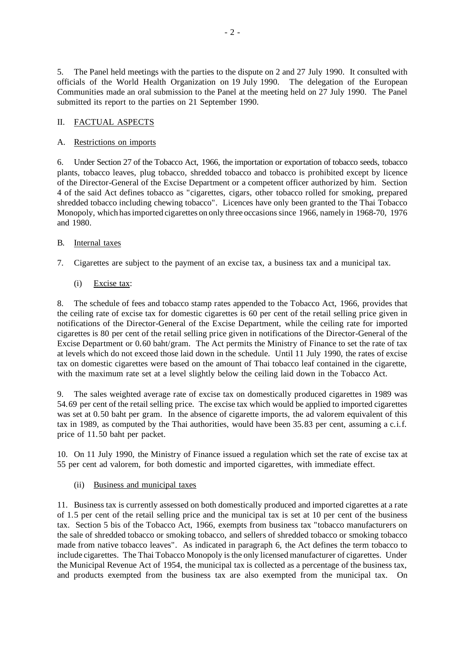5. The Panel held meetings with the parties to the dispute on 2 and 27 July 1990. It consulted with officials of the World Health Organization on 19 July 1990. The delegation of the European Communities made an oral submission to the Panel at the meeting held on 27 July 1990. The Panel submitted its report to the parties on 21 September 1990.

# II. FACTUAL ASPECTS

# A. Restrictions on imports

6. Under Section 27 of the Tobacco Act, 1966, the importation or exportation of tobacco seeds, tobacco plants, tobacco leaves, plug tobacco, shredded tobacco and tobacco is prohibited except by licence of the Director-General of the Excise Department or a competent officer authorized by him. Section 4 of the said Act defines tobacco as "cigarettes, cigars, other tobacco rolled for smoking, prepared shredded tobacco including chewing tobacco". Licences have only been granted to the Thai Tobacco Monopoly, which has imported cigarettes on only three occasions since 1966, namely in 1968-70, 1976 and 1980.

# B. Internal taxes

7. Cigarettes are subject to the payment of an excise tax, a business tax and a municipal tax.

# (i) Excise tax:

8. The schedule of fees and tobacco stamp rates appended to the Tobacco Act, 1966, provides that the ceiling rate of excise tax for domestic cigarettes is 60 per cent of the retail selling price given in notifications of the Director-General of the Excise Department, while the ceiling rate for imported cigarettes is 80 per cent of the retail selling price given in notifications of the Director-General of the Excise Department or 0.60 baht/gram. The Act permits the Ministry of Finance to set the rate of tax at levels which do not exceed those laid down in the schedule. Until 11 July 1990, the rates of excise tax on domestic cigarettes were based on the amount of Thai tobacco leaf contained in the cigarette, with the maximum rate set at a level slightly below the ceiling laid down in the Tobacco Act.

9. The sales weighted average rate of excise tax on domestically produced cigarettes in 1989 was 54.69 per cent of the retail selling price. The excise tax which would be applied to imported cigarettes was set at 0.50 baht per gram. In the absence of cigarette imports, the ad valorem equivalent of this tax in 1989, as computed by the Thai authorities, would have been 35.83 per cent, assuming a c.i.f. price of 11.50 baht per packet.

10. On 11 July 1990, the Ministry of Finance issued a regulation which set the rate of excise tax at 55 per cent ad valorem, for both domestic and imported cigarettes, with immediate effect.

## (ii) Business and municipal taxes

11. Business tax is currently assessed on both domestically produced and imported cigarettes at a rate of 1.5 per cent of the retail selling price and the municipal tax is set at 10 per cent of the business tax. Section 5 bis of the Tobacco Act, 1966, exempts from business tax "tobacco manufacturers on the sale of shredded tobacco or smoking tobacco, and sellers of shredded tobacco or smoking tobacco made from native tobacco leaves". As indicated in paragraph 6, the Act defines the term tobacco to include cigarettes. The Thai Tobacco Monopoly is the only licensed manufacturer of cigarettes. Under the Municipal Revenue Act of 1954, the municipal tax is collected as a percentage of the business tax, and products exempted from the business tax are also exempted from the municipal tax. On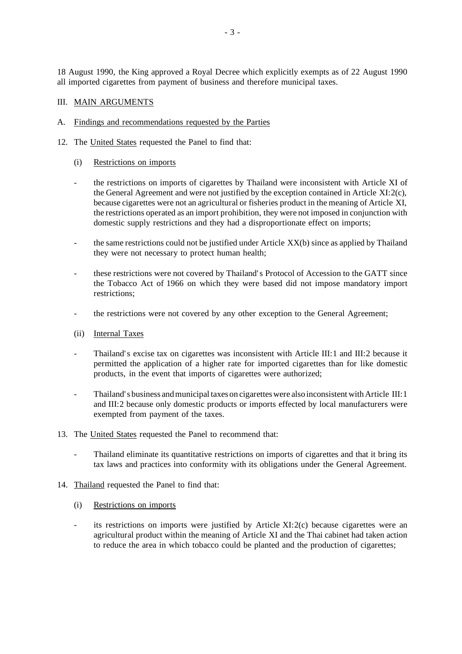18 August 1990, the King approved a Royal Decree which explicitly exempts as of 22 August 1990 all imported cigarettes from payment of business and therefore municipal taxes.

## III. MAIN ARGUMENTS

- A. Findings and recommendations requested by the Parties
- 12. The United States requested the Panel to find that:
	- (i) Restrictions on imports
	- the restrictions on imports of cigarettes by Thailand were inconsistent with Article XI of the General Agreement and were not justified by the exception contained in Article XI:2(c), because cigarettes were not an agricultural or fisheries product in the meaning of Article XI, the restrictions operated as an import prohibition, they were not imposed in conjunction with domestic supply restrictions and they had a disproportionate effect on imports;
	- the same restrictions could not be justified under Article  $XX(b)$  since as applied by Thailand they were not necessary to protect human health;
	- these restrictions were not covered by Thailand's Protocol of Accession to the GATT since the Tobacco Act of 1966 on which they were based did not impose mandatory import restrictions;
	- the restrictions were not covered by any other exception to the General Agreement;
	- (ii) Internal Taxes
	- Thailand's excise tax on cigarettes was inconsistent with Article III:1 and III:2 because it permitted the application of a higher rate for imported cigarettes than for like domestic products, in the event that imports of cigarettes were authorized;
	- Thailand's business and municipal taxes on cigarettes were also inconsistent with Article III: 1 and III:2 because only domestic products or imports effected by local manufacturers were exempted from payment of the taxes.
- 13. The United States requested the Panel to recommend that:
	- Thailand eliminate its quantitative restrictions on imports of cigarettes and that it bring its tax laws and practices into conformity with its obligations under the General Agreement.
- 14. Thailand requested the Panel to find that:
	- (i) Restrictions on imports
	- its restrictions on imports were justified by Article XI:2(c) because cigarettes were an agricultural product within the meaning of Article XI and the Thai cabinet had taken action to reduce the area in which tobacco could be planted and the production of cigarettes;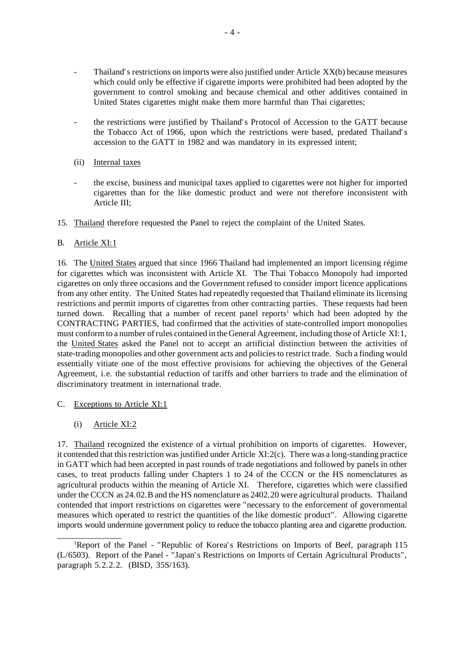- Thailand's restrictions on imports were also justified under Article XX(b) because measures which could only be effective if cigarette imports were prohibited had been adopted by the government to control smoking and because chemical and other additives contained in United States cigarettes might make them more harmful than Thai cigarettes;
- the restrictions were justified by Thailand's Protocol of Accession to the GATT because the Tobacco Act of 1966, upon which the restrictions were based, predated Thailand's accession to the GATT in 1982 and was mandatory in its expressed intent;
- (ii) Internal taxes
- the excise, business and municipal taxes applied to cigarettes were not higher for imported cigarettes than for the like domestic product and were not therefore inconsistent with Article III;
- 15. Thailand therefore requested the Panel to reject the complaint of the United States.

# B. Article XI:1

16. The United States argued that since 1966 Thailand had implemented an import licensing régime for cigarettes which was inconsistent with Article XI. The Thai Tobacco Monopoly had imported cigarettes on only three occasions and the Government refused to consider import licence applications from any other entity. The United States had repeatedly requested that Thailand eliminate its licensing restrictions and permit imports of cigarettes from other contracting parties. These requests had been turned down. Recalling that a number of recent panel reports<sup>1</sup> which had been adopted by the CONTRACTING PARTIES, had confirmed that the activities of state-controlled import monopolies must conformto a number ofrules contained in the General Agreement, including those of Article XI:1, the United States asked the Panel not to accept an artificial distinction between the activities of state-trading monopolies and other government acts and policies to restrict trade. Such a finding would essentially vitiate one of the most effective provisions for achieving the objectives of the General Agreement, i.e. the substantial reduction of tariffs and other barriers to trade and the elimination of discriminatory treatment in international trade.

- C. Exceptions to Article XI:1
	- (i) Article XI:2

 $\overline{\phantom{a}}$  , we can also the contract of  $\overline{\phantom{a}}$ 

17. Thailand recognized the existence of a virtual prohibition on imports of cigarettes. However, it contended that this restriction was justified under Article XI:2(c). There was a long-standing practice in GATT which had been accepted in past rounds of trade negotiations and followed by panels in other cases, to treat products falling under Chapters 1 to 24 of the CCCN or the HS nomenclatures as agricultural products within the meaning of Article XI. Therefore, cigarettes which were classified under the CCCN as 24.02.B and the HS nomenclature as 2402.20 were agricultural products. Thailand contended that import restrictions on cigarettes were "necessary to the enforcement of governmental measures which operated to restrict the quantities of the like domestic product". Allowing cigarette imports would undermine government policy to reduce the tobacco planting area and cigarette production.

<sup>&</sup>lt;sup>1</sup>Report of the Panel - "Republic of Korea's Restrictions on Imports of Beef, paragraph 115 (L/6503). Report of the Panel - "Japan's Restrictions on Imports of Certain Agricultural Products", paragraph 5.2.2.2. (BISD, 35S/163).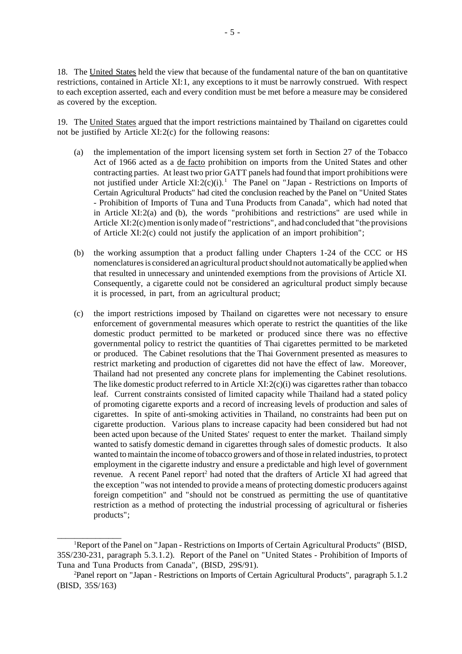18. The United States held the view that because of the fundamental nature of the ban on quantitative restrictions, contained in Article XI:1, any exceptions to it must be narrowly construed. With respect to each exception asserted, each and every condition must be met before a measure may be considered as covered by the exception.

19. The United States argued that the import restrictions maintained by Thailand on cigarettes could not be justified by Article XI:2(c) for the following reasons:

- (a) the implementation of the import licensing system set forth in Section 27 of the Tobacco Act of 1966 acted as a de facto prohibition on imports from the United States and other contracting parties. At least two prior GATT panels had found that import prohibitions were not justified under Article  $XI:2(c)(i)$ .<sup>1</sup> The Panel on "Japan - Restrictions on Imports of Certain Agricultural Products" had cited the conclusion reached by the Panel on "United States - Prohibition of Imports of Tuna and Tuna Products from Canada", which had noted that in Article XI:2(a) and (b), the words "prohibitions and restrictions" are used while in Article XI:2(c) mention is only made of "restrictions", and had concluded that "the provisions of Article XI:2(c) could not justify the application of an import prohibition";
- (b) the working assumption that a product falling under Chapters 1-24 of the CCC or HS nomenclatures is considered an agricultural product should not automatically be applied when that resulted in unnecessary and unintended exemptions from the provisions of Article XI. Consequently, a cigarette could not be considered an agricultural product simply because it is processed, in part, from an agricultural product;
- (c) the import restrictions imposed by Thailand on cigarettes were not necessary to ensure enforcement of governmental measures which operate to restrict the quantities of the like domestic product permitted to be marketed or produced since there was no effective governmental policy to restrict the quantities of Thai cigarettes permitted to be marketed or produced. The Cabinet resolutions that the Thai Government presented as measures to restrict marketing and production of cigarettes did not have the effect of law. Moreover, Thailand had not presented any concrete plans for implementing the Cabinet resolutions. The like domestic product referred to in Article  $XI:2(c)(i)$  was cigarettes rather than tobacco leaf. Current constraints consisted of limited capacity while Thailand had a stated policy of promoting cigarette exports and a record of increasing levels of production and sales of cigarettes. In spite of anti-smoking activities in Thailand, no constraints had been put on cigarette production. Various plans to increase capacity had been considered but had not been acted upon because of the United States' request to enter the market. Thailand simply wanted to satisfy domestic demand in cigarettes through sales of domestic products. It also wanted to maintain the income of tobacco growers and of those in related industries, to protect employment in the cigarette industry and ensure a predictable and high level of government revenue. A recent Panel report<sup>2</sup> had noted that the drafters of Article XI had agreed that the exception "was not intended to provide a means of protecting domestic producers against foreign competition" and "should not be construed as permitting the use of quantitative restriction as a method of protecting the industrial processing of agricultural or fisheries products";

 $\overline{\phantom{a}}$  , we can also the contract of  $\overline{\phantom{a}}$ 

<sup>&</sup>lt;sup>1</sup>Report of the Panel on "Japan - Restrictions on Imports of Certain Agricultural Products" (BISD, 35S/230-231, paragraph 5.3.1.2). Report of the Panel on "United States - Prohibition of Imports of Tuna and Tuna Products from Canada", (BISD, 29S/91).

<sup>2</sup>Panel report on "Japan - Restrictions on Imports of Certain Agricultural Products", paragraph 5.1.2 (BISD, 35S/163)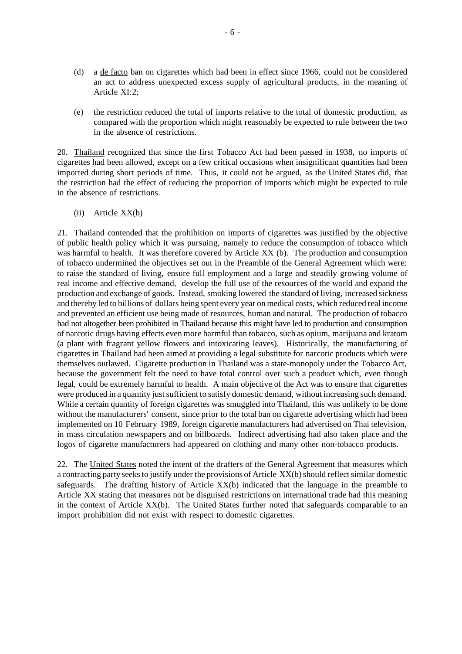- (d) a de facto ban on cigarettes which had been in effect since 1966, could not be considered an act to address unexpected excess supply of agricultural products, in the meaning of Article XI:2;
- (e) the restriction reduced the total of imports relative to the total of domestic production, as compared with the proportion which might reasonably be expected to rule between the two in the absence of restrictions.

20. Thailand recognized that since the first Tobacco Act had been passed in 1938, no imports of cigarettes had been allowed, except on a few critical occasions when insignificant quantities had been imported during short periods of time. Thus, it could not be argued, as the United States did, that the restriction had the effect of reducing the proportion of imports which might be expected to rule in the absence of restrictions.

(ii) Article XX(b)

21. Thailand contended that the prohibition on imports of cigarettes was justified by the objective of public health policy which it was pursuing, namely to reduce the consumption of tobacco which was harmful to health. It was therefore covered by Article XX (b). The production and consumption of tobacco undermined the objectives set out in the Preamble of the General Agreement which were: to raise the standard of living, ensure full employment and a large and steadily growing volume of real income and effective demand, develop the full use of the resources of the world and expand the production and exchange of goods. Instead, smoking lowered the standard of living, increased sickness and thereby led to billions of dollars being spent every year on medical costs, which reduced real income and prevented an efficient use being made of resources, human and natural. The production of tobacco had not altogether been prohibited in Thailand because this might have led to production and consumption of narcotic drugs having effects even more harmful than tobacco, such as opium, marijuana and kratom (a plant with fragrant yellow flowers and intoxicating leaves). Historically, the manufacturing of cigarettes in Thailand had been aimed at providing a legal substitute for narcotic products which were themselves outlawed. Cigarette production in Thailand was a state-monopoly under the Tobacco Act, because the government felt the need to have total control over such a product which, even though legal, could be extremely harmful to health. A main objective of the Act was to ensure that cigarettes were produced in a quantity just sufficient to satisfy domestic demand, without increasing such demand. While a certain quantity of foreign cigarettes was smuggled into Thailand, this was unlikely to be done without the manufacturers' consent, since prior to the total ban on cigarette advertising which had been implemented on 10 February 1989, foreign cigarette manufacturers had advertised on Thai television, in mass circulation newspapers and on billboards. Indirect advertising had also taken place and the logos of cigarette manufacturers had appeared on clothing and many other non-tobacco products.

22. The United States noted the intent of the drafters of the General Agreement that measures which a contracting party seeks to justify under the provisions of Article XX(b) should reflect similar domestic safeguards. The drafting history of Article XX(b) indicated that the language in the preamble to Article XX stating that measures not be disguised restrictions on international trade had this meaning in the context of Article XX(b). The United States further noted that safeguards comparable to an import prohibition did not exist with respect to domestic cigarettes.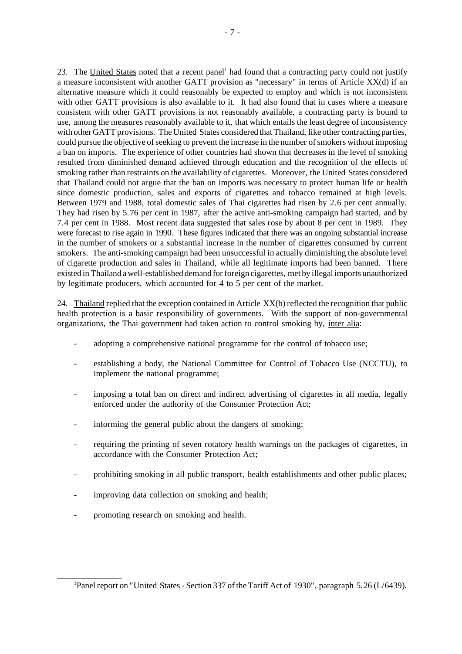23. The United States noted that a recent panel<sup>1</sup> had found that a contracting party could not justify a measure inconsistent with another GATT provision as "necessary" in terms of Article XX(d) if an alternative measure which it could reasonably be expected to employ and which is not inconsistent with other GATT provisions is also available to it. It had also found that in cases where a measure consistent with other GATT provisions is not reasonably available, a contracting party is bound to use, among the measures reasonably available to it, that which entails the least degree of inconsistency with other GATT provisions. The United States considered that Thailand, like other contracting parties, could pursue the objective of seeking to prevent the increase in the number of smokers without imposing a ban on imports. The experience of other countries had shown that decreases in the level of smoking resulted from diminished demand achieved through education and the recognition of the effects of smoking rather than restraints on the availability of cigarettes. Moreover, the United States considered that Thailand could not argue that the ban on imports was necessary to protect human life or health since domestic production, sales and exports of cigarettes and tobacco remained at high levels. Between 1979 and 1988, total domestic sales of Thai cigarettes had risen by 2.6 per cent annually. They had risen by 5.76 per cent in 1987, after the active anti-smoking campaign had started, and by 7.4 per cent in 1988. Most recent data suggested that sales rose by about 8 per cent in 1989. They were forecast to rise again in 1990. These figures indicated that there was an ongoing substantial increase in the number of smokers or a substantial increase in the number of cigarettes consumed by current smokers. The anti-smoking campaign had been unsuccessful in actually diminishing the absolute level of cigarette production and sales in Thailand, while all legitimate imports had been banned. There existed in Thailand a well-established demand for foreign cigarettes, met by illegal imports unauthorized by legitimate producers, which accounted for 4 to 5 per cent of the market.

24. Thailand replied that the exception contained in Article XX(b) reflected the recognition that public health protection is a basic responsibility of governments. With the support of non-governmental organizations, the Thai government had taken action to control smoking by, inter alia:

- adopting a comprehensive national programme for the control of tobacco use;
- establishing a body, the National Committee for Control of Tobacco Use (NCCTU), to implement the national programme;
- imposing a total ban on direct and indirect advertising of cigarettes in all media, legally enforced under the authority of the Consumer Protection Act;
- informing the general public about the dangers of smoking;
- requiring the printing of seven rotatory health warnings on the packages of cigarettes, in accordance with the Consumer Protection Act;
- prohibiting smoking in all public transport, health establishments and other public places;
- improving data collection on smoking and health;
- promoting research on smoking and health.

 $\overline{\phantom{a}}$  , we can also the contract of  $\overline{\phantom{a}}$ 

<sup>&</sup>lt;sup>1</sup>Panel report on "United States - Section 337 of the Tariff Act of 1930", paragraph 5.26 (L/6439).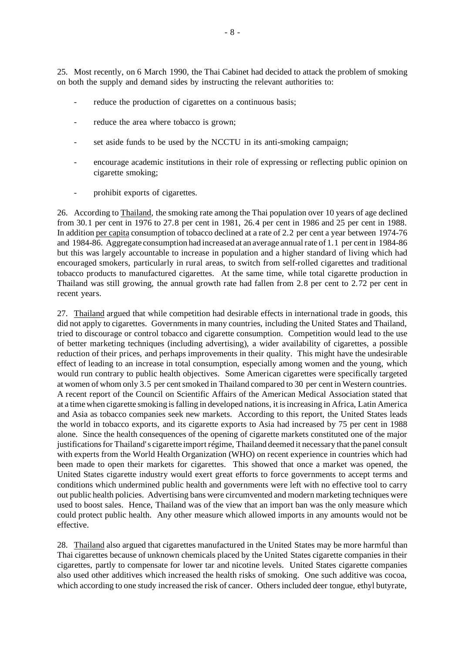25. Most recently, on 6 March 1990, the Thai Cabinet had decided to attack the problem of smoking on both the supply and demand sides by instructing the relevant authorities to:

- reduce the production of cigarettes on a continuous basis;
- reduce the area where tobacco is grown;
- set aside funds to be used by the NCCTU in its anti-smoking campaign;
- encourage academic institutions in their role of expressing or reflecting public opinion on cigarette smoking;
- prohibit exports of cigarettes.

26. According to Thailand, the smoking rate among the Thai population over 10 years of age declined from 30.1 per cent in 1976 to 27.8 per cent in 1981, 26.4 per cent in 1986 and 25 per cent in 1988. In addition per capita consumption of tobacco declined at a rate of 2.2 per cent a year between 1974-76 and 1984-86. Aggregate consumption had increased at an average annualrate of 1.1 per cent in 1984-86 but this was largely accountable to increase in population and a higher standard of living which had encouraged smokers, particularly in rural areas, to switch from self-rolled cigarettes and traditional tobacco products to manufactured cigarettes. At the same time, while total cigarette production in Thailand was still growing, the annual growth rate had fallen from 2.8 per cent to 2.72 per cent in recent years.

27. Thailand argued that while competition had desirable effects in international trade in goods, this did not apply to cigarettes. Governments in many countries, including the United States and Thailand, tried to discourage or control tobacco and cigarette consumption. Competition would lead to the use of better marketing techniques (including advertising), a wider availability of cigarettes, a possible reduction of their prices, and perhaps improvements in their quality. This might have the undesirable effect of leading to an increase in total consumption, especially among women and the young, which would run contrary to public health objectives. Some American cigarettes were specifically targeted at women of whom only 3.5 per centsmoked in Thailand compared to 30 per cent in Western countries. A recent report of the Council on Scientific Affairs of the American Medical Association stated that at a time when cigarette smoking is falling in developed nations, it is increasing in Africa, Latin America and Asia as tobacco companies seek new markets. According to this report, the United States leads the world in tobacco exports, and its cigarette exports to Asia had increased by 75 per cent in 1988 alone. Since the health consequences of the opening of cigarette markets constituted one of the major justifications for Thailand's cigarette import régime, Thailand deemed it necessary that the panel consult with experts from the World Health Organization (WHO) on recent experience in countries which had been made to open their markets for cigarettes. This showed that once a market was opened, the United States cigarette industry would exert great efforts to force governments to accept terms and conditions which undermined public health and governments were left with no effective tool to carry out public health policies. Advertising bans were circumvented and modern marketing techniques were used to boost sales. Hence, Thailand was of the view that an import ban was the only measure which could protect public health. Any other measure which allowed imports in any amounts would not be effective.

28. Thailand also argued that cigarettes manufactured in the United States may be more harmful than Thai cigarettes because of unknown chemicals placed by the United States cigarette companies in their cigarettes, partly to compensate for lower tar and nicotine levels. United States cigarette companies also used other additives which increased the health risks of smoking. One such additive was cocoa, which according to one study increased the risk of cancer. Others included deer tongue, ethyl butyrate,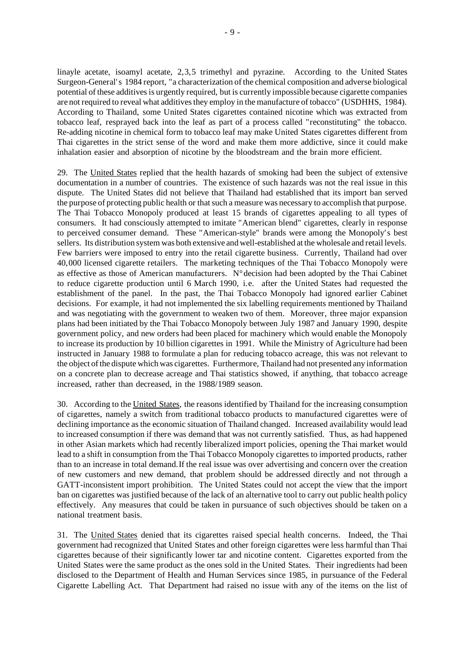linayle acetate, isoamyl acetate, 2,3,5 trimethyl and pyrazine. According to the United States Surgeon-General's 1984 report, "a characterization of the chemical composition and adverse biological potential of these additivesis urgently required, but is currently impossible because cigarette companies are not required to reveal what additives they employ in the manufacture of tobacco" (USDHHS, 1984). According to Thailand, some United States cigarettes contained nicotine which was extracted from tobacco leaf, resprayed back into the leaf as part of a process called "reconstituting" the tobacco. Re-adding nicotine in chemical form to tobacco leaf may make United States cigarettes different from Thai cigarettes in the strict sense of the word and make them more addictive, since it could make inhalation easier and absorption of nicotine by the bloodstream and the brain more efficient.

29. The United States replied that the health hazards of smoking had been the subject of extensive documentation in a number of countries. The existence of such hazards was not the real issue in this dispute. The United States did not believe that Thailand had established that its import ban served the purpose of protecting public health or that such a measure was necessary to accomplish that purpose. The Thai Tobacco Monopoly produced at least 15 brands of cigarettes appealing to all types of consumers. It had consciously attempted to imitate "American blend" cigarettes, clearly in response to perceived consumer demand. These "American-style" brands were among the Monopoly's best sellers. Its distribution system was both extensive and well-established at the wholesale and retail levels. Few barriers were imposed to entry into the retail cigarette business. Currently, Thailand had over 40,000 licensed cigarette retailers. The marketing techniques of the Thai Tobacco Monopoly were as effective as those of American manufacturers. N°decision had been adopted by the Thai Cabinet to reduce cigarette production until 6 March 1990, i.e. after the United States had requested the establishment of the panel. In the past, the Thai Tobacco Monopoly had ignored earlier Cabinet decisions. For example, it had not implemented the six labelling requirements mentioned by Thailand and was negotiating with the government to weaken two of them. Moreover, three major expansion plans had been initiated by the Thai Tobacco Monopoly between July 1987 and January 1990, despite government policy, and new orders had been placed for machinery which would enable the Monopoly to increase its production by 10 billion cigarettes in 1991. While the Ministry of Agriculture had been instructed in January 1988 to formulate a plan for reducing tobacco acreage, this was not relevant to the object ofthe dispute which was cigarettes. Furthermore,Thailand had not presented any information on a concrete plan to decrease acreage and Thai statistics showed, if anything, that tobacco acreage increased, rather than decreased, in the 1988/1989 season.

30. According to the United States, the reasons identified by Thailand for the increasing consumption of cigarettes, namely a switch from traditional tobacco products to manufactured cigarettes were of declining importance asthe economic situation of Thailand changed. Increased availability would lead to increased consumption if there was demand that was not currently satisfied. Thus, as had happened in other Asian markets which had recently liberalized import policies, opening the Thai market would lead to a shift in consumption from the Thai Tobacco Monopoly cigarettes to imported products, rather than to an increase in total demand.If the real issue was over advertising and concern over the creation of new customers and new demand, that problem should be addressed directly and not through a GATT-inconsistent import prohibition. The United States could not accept the view that the import ban on cigarettes was justified because of the lack of an alternative tool to carry out public health policy effectively. Any measures that could be taken in pursuance of such objectives should be taken on a national treatment basis.

31. The United States denied that its cigarettes raised special health concerns. Indeed, the Thai government had recognized that United States and other foreign cigarettes were less harmful than Thai cigarettes because of their significantly lower tar and nicotine content. Cigarettes exported from the United States were the same product as the ones sold in the United States. Their ingredients had been disclosed to the Department of Health and Human Services since 1985, in pursuance of the Federal Cigarette Labelling Act. That Department had raised no issue with any of the items on the list of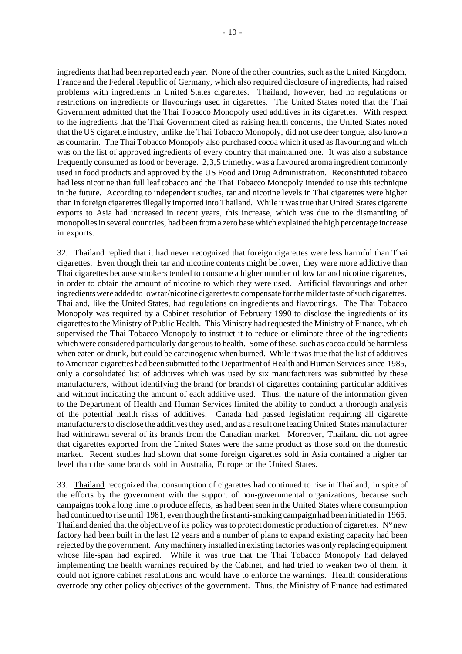ingredients that had been reported each year. None of the other countries, such as the United Kingdom, France and the Federal Republic of Germany, which also required disclosure of ingredients, had raised problems with ingredients in United States cigarettes. Thailand, however, had no regulations or restrictions on ingredients or flavourings used in cigarettes. The United States noted that the Thai Government admitted that the Thai Tobacco Monopoly used additives in its cigarettes. With respect to the ingredients that the Thai Government cited as raising health concerns, the United States noted that the US cigarette industry, unlike the Thai Tobacco Monopoly, did not use deer tongue, also known as coumarin. The Thai Tobacco Monopoly also purchased cocoa which it used as flavouring and which was on the list of approved ingredients of every country that maintained one. It was also a substance frequently consumed asfood or beverage. 2,3,5 trimethyl was a flavoured aroma ingredient commonly used in food products and approved by the US Food and Drug Administration. Reconstituted tobacco had less nicotine than full leaf tobacco and the Thai Tobacco Monopoly intended to use this technique in the future. According to independent studies, tar and nicotine levels in Thai cigarettes were higher than in foreign cigarettesillegally imported into Thailand. While it wastrue that United States cigarette exports to Asia had increased in recent years, this increase, which was due to the dismantling of monopoliesin several countries, had been froma zero base which explained the high percentage increase in exports.

32. Thailand replied that it had never recognized that foreign cigarettes were less harmful than Thai cigarettes. Even though their tar and nicotine contents might be lower, they were more addictive than Thai cigarettes because smokers tended to consume a higher number of low tar and nicotine cigarettes, in order to obtain the amount of nicotine to which they were used. Artificial flavourings and other ingredients were added to low tar/nicotine cigarettes to compensate for the milder taste of such cigarettes. Thailand, like the United States, had regulations on ingredients and flavourings. The Thai Tobacco Monopoly was required by a Cabinet resolution of February 1990 to disclose the ingredients of its cigarettesto the Ministry of Public Health. This Ministry had requested the Ministry of Finance, which supervised the Thai Tobacco Monopoly to instruct it to reduce or eliminate three of the ingredients which were considered particularly dangerous to health. Some of these, such as cocoa could be harmless when eaten or drunk, but could be carcinogenic when burned. While it wastrue that the list of additives to American cigarettes had been submitted to the Department of Health and Human Servicessince 1985, only a consolidated list of additives which was used by six manufacturers was submitted by these manufacturers, without identifying the brand (or brands) of cigarettes containing particular additives and without indicating the amount of each additive used. Thus, the nature of the information given to the Department of Health and Human Services limited the ability to conduct a thorough analysis of the potential health risks of additives. Canada had passed legislation requiring all cigarette manufacturers to disclose the additives they used, and as a result one leading United States manufacturer had withdrawn several of its brands from the Canadian market. Moreover, Thailand did not agree that cigarettes exported from the United States were the same product as those sold on the domestic market. Recent studies had shown that some foreign cigarettes sold in Asia contained a higher tar level than the same brands sold in Australia, Europe or the United States.

33. Thailand recognized that consumption of cigarettes had continued to rise in Thailand, in spite of the efforts by the government with the support of non-governmental organizations, because such campaigns took a long time to produce effects, as had been seen in the United States where consumption had continued to rise until 1981, even though the first anti-smoking campaign had been initiated in 1965. Thailand denied that the objective of its policy was to protect domestic production of cigarettes.  $N^{\circ}$  new factory had been built in the last 12 years and a number of plans to expand existing capacity had been rejected by the government. Any machinery installed in existing factories was only replacing equipment whose life-span had expired. While it was true that the Thai Tobacco Monopoly had delayed implementing the health warnings required by the Cabinet, and had tried to weaken two of them, it could not ignore cabinet resolutions and would have to enforce the warnings. Health considerations overrode any other policy objectives of the government. Thus, the Ministry of Finance had estimated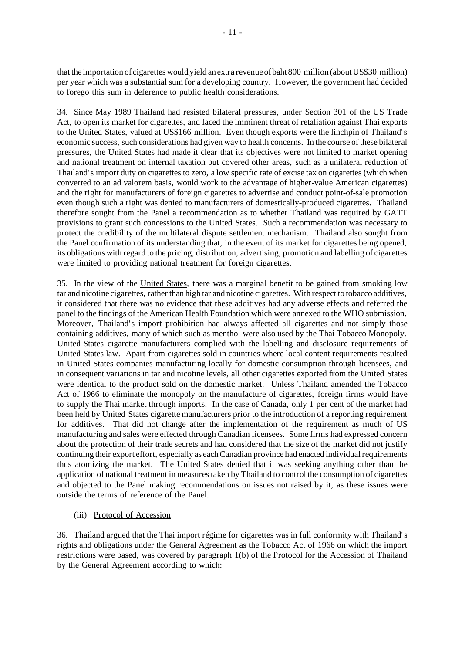that the importation of cigarettes would yield an extra revenue of baht 800 million (about US\$30 million) per year which was a substantial sum for a developing country. However, the government had decided to forego this sum in deference to public health considerations.

34. Since May 1989 Thailand had resisted bilateral pressures, under Section 301 of the US Trade Act, to open its market for cigarettes, and faced the imminent threat of retaliation against Thai exports to the United States, valued at US\$166 million. Even though exports were the linchpin of Thailand's economic success, such considerations had given way to health concerns. In the course of these bilateral pressures, the United States had made it clear that its objectives were not limited to market opening and national treatment on internal taxation but covered other areas, such as a unilateral reduction of Thailand's import duty on cigarettes to zero, a low specific rate of excise tax on cigarettes (which when converted to an ad valorem basis, would work to the advantage of higher-value American cigarettes) and the right for manufacturers of foreign cigarettes to advertise and conduct point-of-sale promotion even though such a right was denied to manufacturers of domestically-produced cigarettes. Thailand therefore sought from the Panel a recommendation as to whether Thailand was required by GATT provisions to grant such concessions to the United States. Such a recommendation was necessary to protect the credibility of the multilateral dispute settlement mechanism. Thailand also sought from the Panel confirmation of its understanding that, in the event of its market for cigarettes being opened, its obligations with regard to the pricing, distribution, advertising, promotion and labelling of cigarettes were limited to providing national treatment for foreign cigarettes.

35. In the view of the United States, there was a marginal benefit to be gained from smoking low tar and nicotine cigarettes, rather than high tar and nicotine cigarettes. With respect to tobacco additives, it considered that there was no evidence that these additives had any adverse effects and referred the panel to the findings of the American Health Foundation which were annexed to the WHO submission. Moreover, Thailand's import prohibition had always affected all cigarettes and not simply those containing additives, many of which such as menthol were also used by the Thai Tobacco Monopoly. United States cigarette manufacturers complied with the labelling and disclosure requirements of United States law. Apart from cigarettes sold in countries where local content requirements resulted in United States companies manufacturing locally for domestic consumption through licensees, and in consequent variations in tar and nicotine levels, all other cigarettes exported from the United States were identical to the product sold on the domestic market. Unless Thailand amended the Tobacco Act of 1966 to eliminate the monopoly on the manufacture of cigarettes, foreign firms would have to supply the Thai market through imports. In the case of Canada, only 1 per cent of the market had been held by United States cigarette manufacturers prior to the introduction of a reporting requirement for additives. That did not change after the implementation of the requirement as much of US manufacturing and sales were effected through Canadian licensees. Some firms had expressed concern about the protection of their trade secrets and had considered that the size of the market did not justify continuing their export effort, especially as each Canadian province had enacted individual requirements thus atomizing the market. The United States denied that it was seeking anything other than the application of national treatment in measures taken by Thailand to control the consumption of cigarettes and objected to the Panel making recommendations on issues not raised by it, as these issues were outside the terms of reference of the Panel.

(iii) Protocol of Accession

36. Thailand argued that the Thai import régime for cigarettes was in full conformity with Thailand's rights and obligations under the General Agreement as the Tobacco Act of 1966 on which the import restrictions were based, was covered by paragraph 1(b) of the Protocol for the Accession of Thailand by the General Agreement according to which: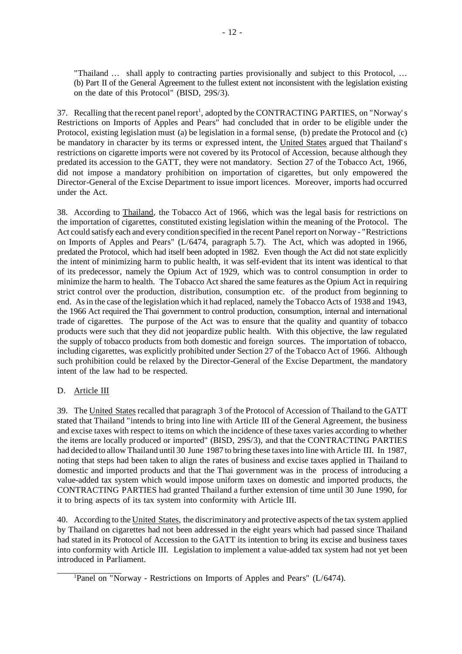"Thailand ... shall apply to contracting parties provisionally and subject to this Protocol, ... (b) Part II of the General Agreement to the fullest extent not inconsistent with the legislation existing on the date of this Protocol" (BISD, 29S/3).

37. Recalling that the recent panel report<sup>1</sup>, adopted by the CONTRACTING PARTIES, on "Norway's Restrictions on Imports of Apples and Pears" had concluded that in order to be eligible under the Protocol, existing legislation must (a) be legislation in a formal sense, (b) predate the Protocol and (c) be mandatory in character by its terms or expressed intent, the United States argued that Thailand's restrictions on cigarette imports were not covered by its Protocol of Accession, because although they predated its accession to the GATT, they were not mandatory. Section 27 of the Tobacco Act, 1966, did not impose a mandatory prohibition on importation of cigarettes, but only empowered the Director-General of the Excise Department to issue import licences. Moreover, imports had occurred under the Act.

38. According to Thailand, the Tobacco Act of 1966, which was the legal basis for restrictions on the importation of cigarettes, constituted existing legislation within the meaning of the Protocol. The Act could satisfy each and every condition specified in the recent Panel report on Norway - "Restrictions" on Imports of Apples and Pears" (L/6474, paragraph 5.7). The Act, which was adopted in 1966, predated the Protocol, which had itself been adopted in 1982. Even though the Act did not state explicitly the intent of minimizing harm to public health, it was self-evident that its intent was identical to that of its predecessor, namely the Opium Act of 1929, which was to control consumption in order to minimize the harm to health. The Tobacco Act shared the same features as the Opium Act in requiring strict control over the production, distribution, consumption etc. of the product from beginning to end. Asin the case of the legislation which it had replaced, namely the Tobacco Acts of 1938 and 1943, the 1966 Act required the Thai government to control production, consumption, internal and international trade of cigarettes. The purpose of the Act was to ensure that the quality and quantity of tobacco products were such that they did not jeopardize public health. With this objective, the law regulated the supply of tobacco products from both domestic and foreign sources. The importation of tobacco, including cigarettes, was explicitly prohibited under Section 27 of the Tobacco Act of 1966. Although such prohibition could be relaxed by the Director-General of the Excise Department, the mandatory intent of the law had to be respected.

# D. Article III

39. The United States recalled that paragraph 3 of the Protocol of Accession of Thailand to the GATT stated that Thailand "intends to bring into line with Article III of the General Agreement, the business and excise taxes with respect to items on which the incidence of these taxes varies according to whether the items are locally produced or imported" (BISD, 29S/3), and that the CONTRACTING PARTIES had decided to allow Thailand until 30 June 1987 to bring these taxes into line with Article III. In 1987, noting that steps had been taken to align the rates of business and excise taxes applied in Thailand to domestic and imported products and that the Thai government was in the process of introducing a value-added tax system which would impose uniform taxes on domestic and imported products, the CONTRACTING PARTIES had granted Thailand a further extension of time until 30 June 1990, for it to bring aspects of its tax system into conformity with Article III.

40. According to the United States, the discriminatory and protective aspects of the tax system applied by Thailand on cigarettes had not been addressed in the eight years which had passed since Thailand had stated in its Protocol of Accession to the GATT its intention to bring its excise and business taxes into conformity with Article III. Legislation to implement a value-added tax system had not yet been introduced in Parliament.

 $\overline{\phantom{a}}$  , we can also the contract of  $\overline{\phantom{a}}$ <sup>1</sup>Panel on "Norway - Restrictions on Imports of Apples and Pears" (L/6474).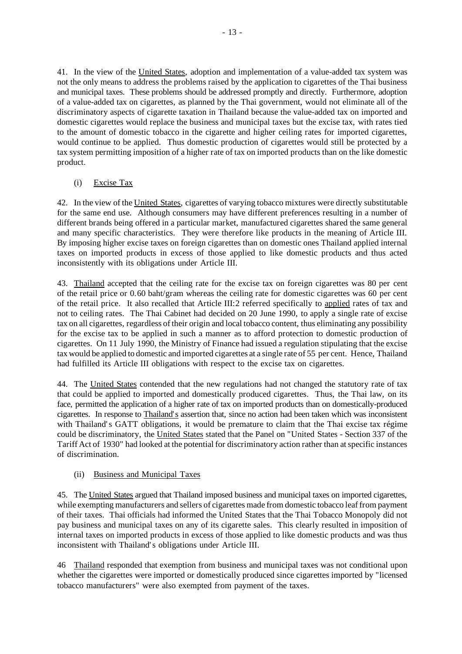41. In the view of the United States, adoption and implementation of a value-added tax system was not the only means to address the problems raised by the application to cigarettes of the Thai business and municipal taxes. These problems should be addressed promptly and directly. Furthermore, adoption of a value-added tax on cigarettes, as planned by the Thai government, would not eliminate all of the discriminatory aspects of cigarette taxation in Thailand because the value-added tax on imported and domestic cigarettes would replace the business and municipal taxes but the excise tax, with rates tied to the amount of domestic tobacco in the cigarette and higher ceiling rates for imported cigarettes, would continue to be applied. Thus domestic production of cigarettes would still be protected by a tax system permitting imposition of a higher rate of tax on imported products than on the like domestic product.

(i) Excise Tax

42. In the view of the United States, cigarettes of varying tobacco mixtures were directly substitutable for the same end use. Although consumers may have different preferences resulting in a number of different brands being offered in a particular market, manufactured cigarettes shared the same general and many specific characteristics. They were therefore like products in the meaning of Article III. By imposing higher excise taxes on foreign cigarettes than on domestic ones Thailand applied internal taxes on imported products in excess of those applied to like domestic products and thus acted inconsistently with its obligations under Article III.

43. Thailand accepted that the ceiling rate for the excise tax on foreign cigarettes was 80 per cent of the retail price or 0.60 baht/gram whereas the ceiling rate for domestic cigarettes was 60 per cent of the retail price. It also recalled that Article III:2 referred specifically to applied rates of tax and not to ceiling rates. The Thai Cabinet had decided on 20 June 1990, to apply a single rate of excise tax on all cigarettes, regardless of their origin and local tobacco content, thus eliminating any possibility for the excise tax to be applied in such a manner as to afford protection to domestic production of cigarettes. On 11 July 1990, the Ministry of Finance had issued a regulation stipulating that the excise tax would be applied to domestic and imported cigarettes at a single rate of 55 per cent. Hence, Thailand had fulfilled its Article III obligations with respect to the excise tax on cigarettes.

44. The United States contended that the new regulations had not changed the statutory rate of tax that could be applied to imported and domestically produced cigarettes. Thus, the Thai law, on its face, permitted the application of a higher rate of tax on imported products than on domestically-produced cigarettes. In response to Thailand's assertion that, since no action had been taken which was inconsistent with Thailand's GATT obligations, it would be premature to claim that the Thai excise tax régime could be discriminatory, the United States stated that the Panel on "United States - Section 337 of the Tariff Act of 1930" had looked at the potential for discriminatory action ratherthan atspecific instances of discrimination.

# (ii) Business and Municipal Taxes

45. The United States argued that Thailand imposed business and municipal taxes on imported cigarettes, while exempting manufacturers and sellers of cigarettes made from domestic tobacco leaf from payment of their taxes. Thai officials had informed the United States that the Thai Tobacco Monopoly did not pay business and municipal taxes on any of its cigarette sales. This clearly resulted in imposition of internal taxes on imported products in excess of those applied to like domestic products and was thus inconsistent with Thailand's obligations under Article III.

46 Thailand responded that exemption from business and municipal taxes was not conditional upon whether the cigarettes were imported or domestically produced since cigarettes imported by "licensed tobacco manufacturers" were also exempted from payment of the taxes.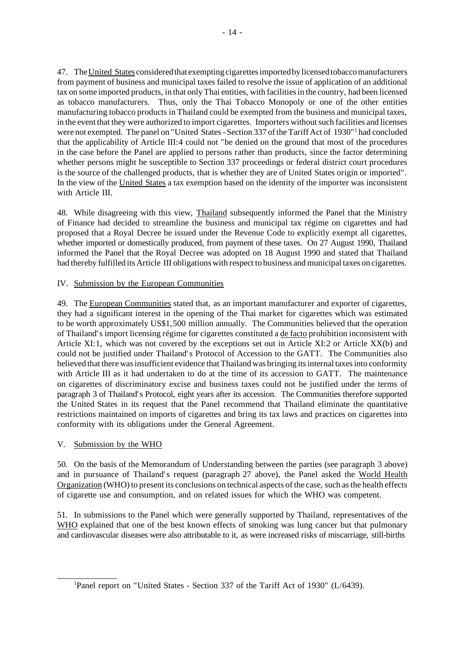47. TheUnited States consideredthat exempting cigarettesimportedby licensed tobaccomanufacturers from payment of business and municipal taxes failed to resolve the issue of application of an additional tax on some imported products, in that only Thai entities, with facilities in the country, had been licensed as tobacco manufacturers. Thus, only the Thai Tobacco Monopoly or one of the other entities manufacturing tobacco products in Thailand could be exempted from the business and municipal taxes, in the event that they were authorized to import cigarettes. Importers withoutsuch facilities and licenses were not exempted. The panel on "United States - Section 337 of the Tariff Act of 1930"<sup>1</sup> had concluded that the applicability of Article III:4 could not "be denied on the ground that most of the procedures in the case before the Panel are applied to persons rather than products, since the factor determining whether persons might be susceptible to Section 337 proceedings or federal district court procedures is the source of the challenged products, that is whether they are of United States origin or imported". In the view of the United States a tax exemption based on the identity of the importer was inconsistent with Article III.

48. While disagreeing with this view, Thailand subsequently informed the Panel that the Ministry of Finance had decided to streamline the business and municipal tax régime on cigarettes and had proposed that a Royal Decree be issued under the Revenue Code to explicitly exempt all cigarettes, whether imported or domestically produced, from payment of these taxes. On 27 August 1990, Thailand informed the Panel that the Royal Decree was adopted on 18 August 1990 and stated that Thailand had thereby fulfilled its Article III obligations with respect to business and municipal taxes on cigarettes.

# IV. Submission by the European Communities

49. The European Communities stated that, as an important manufacturer and exporter of cigarettes, they had a significant interest in the opening of the Thai market for cigarettes which was estimated to be worth approximately US\$1,500 million annually. The Communities believed that the operation of Thailand's import licensing régime for cigarettes constituted a de facto prohibition inconsistent with Article XI:1, which was not covered by the exceptions set out in Article XI:2 or Article XX(b) and could not be justified under Thailand's Protocol of Accession to the GATT. The Communities also believed that there was insufficient evidence that Thailand was bringing its internal taxes into conformity with Article III as it had undertaken to do at the time of its accession to GATT. The maintenance on cigarettes of discriminatory excise and business taxes could not be justified under the terms of paragraph 3 of Thailand's Protocol, eight years after its accession. The Communities therefore supported the United States in its request that the Panel recommend that Thailand eliminate the quantitative restrictions maintained on imports of cigarettes and bring its tax laws and practices on cigarettes into conformity with its obligations under the General Agreement.

# V. Submission by the WHO

\_\_\_\_\_\_\_\_\_\_\_\_\_\_

50. On the basis of the Memorandum of Understanding between the parties (see paragraph 3 above) and in pursuance of Thailand's request (paragraph 27 above), the Panel asked the World Health Organization (WHO) to present its conclusions on technical aspects of the case, such as the health effects of cigarette use and consumption, and on related issues for which the WHO was competent.

51. In submissions to the Panel which were generally supported by Thailand, representatives of the WHO explained that one of the best known effects of smoking was lung cancer but that pulmonary and cardiovascular diseases were also attributable to it, as were increased risks of miscarriage, still-births

<sup>&</sup>lt;sup>1</sup>Panel report on "United States - Section 337 of the Tariff Act of 1930" (L/6439).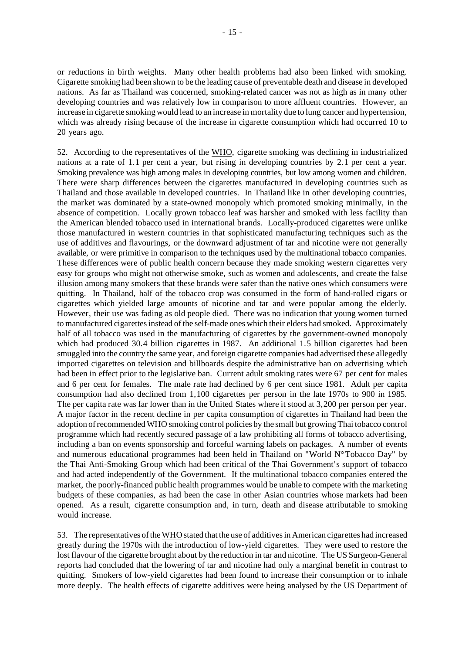or reductions in birth weights. Many other health problems had also been linked with smoking. Cigarette smoking had been shown to be the leading cause of preventable death and disease in developed nations. As far as Thailand was concerned, smoking-related cancer was not as high as in many other developing countries and was relatively low in comparison to more affluent countries. However, an increase in cigarette smoking would lead to an increase in mortality due to lung cancer and hypertension, which was already rising because of the increase in cigarette consumption which had occurred 10 to 20 years ago.

52. According to the representatives of the WHO, cigarette smoking was declining in industrialized nations at a rate of 1.1 per cent a year, but rising in developing countries by 2.1 per cent a year. Smoking prevalence was high among males in developing countries, but low among women and children. There were sharp differences between the cigarettes manufactured in developing countries such as Thailand and those available in developed countries. In Thailand like in other developing countries, the market was dominated by a state-owned monopoly which promoted smoking minimally, in the absence of competition. Locally grown tobacco leaf was harsher and smoked with less facility than the American blended tobacco used in international brands. Locally-produced cigarettes were unlike those manufactured in western countries in that sophisticated manufacturing techniques such as the use of additives and flavourings, or the downward adjustment of tar and nicotine were not generally available, or were primitive in comparison to the techniques used by the multinational tobacco companies. These differences were of public health concern because they made smoking western cigarettes very easy for groups who might not otherwise smoke, such as women and adolescents, and create the false illusion among many smokers that these brands were safer than the native ones which consumers were quitting. In Thailand, half of the tobacco crop was consumed in the form of hand-rolled cigars or cigarettes which yielded large amounts of nicotine and tar and were popular among the elderly. However, their use was fading as old people died. There was no indication that young women turned to manufactured cigarettesinstead of the self-made ones which their elders had smoked. Approximately half of all tobacco was used in the manufacturing of cigarettes by the government-owned monopoly which had produced 30.4 billion cigarettes in 1987. An additional 1.5 billion cigarettes had been smuggled into the country the same year, and foreign cigarette companies had advertised these allegedly imported cigarettes on television and billboards despite the administrative ban on advertising which had been in effect prior to the legislative ban. Current adult smoking rates were 67 per cent for males and 6 per cent for females. The male rate had declined by 6 per cent since 1981. Adult per capita consumption had also declined from 1,100 cigarettes per person in the late 1970s to 900 in 1985. The per capita rate was far lower than in the United States where it stood at 3,200 per person per year. A major factor in the recent decline in per capita consumption of cigarettes in Thailand had been the adoption ofrecommendedWHO smoking control policies by the small but growingThai tobacco control programme which had recently secured passage of a law prohibiting all forms of tobacco advertising, including a ban on events sponsorship and forceful warning labels on packages. A number of events and numerous educational programmes had been held in Thailand on "World N°Tobacco Day" by the Thai Anti-Smoking Group which had been critical of the Thai Government's support of tobacco and had acted independently of the Government. If the multinational tobacco companies entered the market, the poorly-financed public health programmes would be unable to compete with the marketing budgets of these companies, as had been the case in other Asian countries whose markets had been opened. As a result, cigarette consumption and, in turn, death and disease attributable to smoking would increase.

53. The representatives of the WHO stated that the use of additives in American cigarettes had increased greatly during the 1970s with the introduction of low-yield cigarettes. They were used to restore the lost flavour of the cigarette brought about by the reduction in tar and nicotine. The US Surgeon-General reports had concluded that the lowering of tar and nicotine had only a marginal benefit in contrast to quitting. Smokers of low-yield cigarettes had been found to increase their consumption or to inhale more deeply. The health effects of cigarette additives were being analysed by the US Department of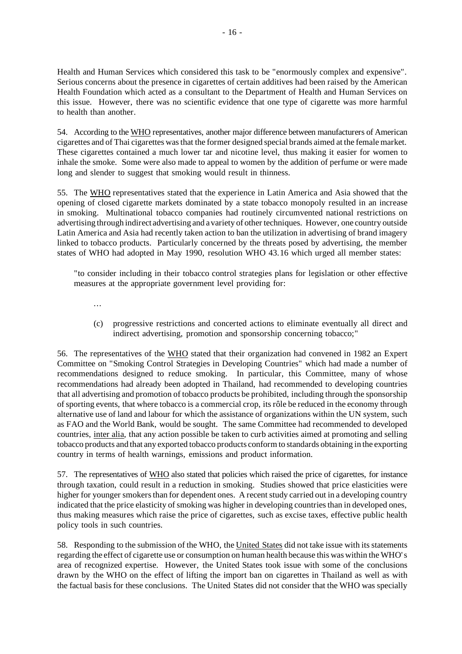Health and Human Services which considered this task to be "enormously complex and expensive". Serious concerns about the presence in cigarettes of certain additives had been raised by the American Health Foundation which acted as a consultant to the Department of Health and Human Services on this issue. However, there was no scientific evidence that one type of cigarette was more harmful to health than another.

54. According to the WHO representatives, another major difference between manufacturers of American cigarettes and of Thai cigarettes wasthat the former designed special brands aimed at the female market. These cigarettes contained a much lower tar and nicotine level, thus making it easier for women to inhale the smoke. Some were also made to appeal to women by the addition of perfume or were made long and slender to suggest that smoking would result in thinness.

55. The WHO representatives stated that the experience in Latin America and Asia showed that the opening of closed cigarette markets dominated by a state tobacco monopoly resulted in an increase in smoking. Multinational tobacco companies had routinely circumvented national restrictions on advertising through indirect advertising and a variety of other techniques. However, one country outside Latin America and Asia had recently taken action to ban the utilization in advertising of brand imagery linked to tobacco products. Particularly concerned by the threats posed by advertising, the member states of WHO had adopted in May 1990, resolution WHO 43.16 which urged all member states:

"to consider including in their tobacco control strategies plans for legislation or other effective measures at the appropriate government level providing for:

...

(c) progressive restrictions and concerted actions to eliminate eventually all direct and indirect advertising, promotion and sponsorship concerning tobacco;"

56. The representatives of the WHO stated that their organization had convened in 1982 an Expert Committee on "Smoking Control Strategies in Developing Countries" which had made a number of recommendations designed to reduce smoking. In particular, this Committee, many of whose recommendations had already been adopted in Thailand, had recommended to developing countries that all advertising and promotion of tobacco products be prohibited, including through the sponsorship of sporting events, that where tobacco is a commercial crop, its rôle be reduced in the economy through alternative use of land and labour for which the assistance of organizations within the UN system, such as FAO and the World Bank, would be sought. The same Committee had recommended to developed countries, inter alia, that any action possible be taken to curb activities aimed at promoting and selling tobacco products and that any exported tobacco products conformto standards obtaining in the exporting country in terms of health warnings, emissions and product information.

57. The representatives of WHO also stated that policies which raised the price of cigarettes, for instance through taxation, could result in a reduction in smoking. Studies showed that price elasticities were higher for younger smokers than for dependent ones. A recent study carried out in a developing country indicated that the price elasticity of smoking was higher in developing countries than in developed ones, thus making measures which raise the price of cigarettes, such as excise taxes, effective public health policy tools in such countries.

58. Responding to the submission of the WHO, the United States did not take issue with its statements regarding the effect of cigarette use or consumption on human health because this was within the WHO's area of recognized expertise. However, the United States took issue with some of the conclusions drawn by the WHO on the effect of lifting the import ban on cigarettes in Thailand as well as with the factual basis for these conclusions. The United States did not consider that the WHO was specially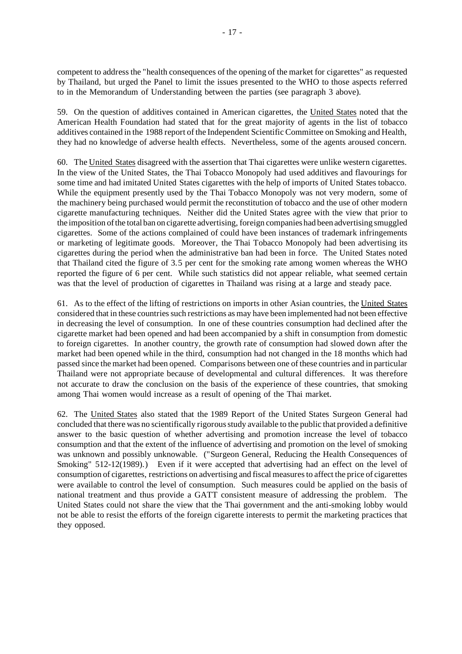competent to address the "health consequences of the opening of the market for cigarettes" as requested by Thailand, but urged the Panel to limit the issues presented to the WHO to those aspects referred to in the Memorandum of Understanding between the parties (see paragraph 3 above).

59. On the question of additives contained in American cigarettes, the United States noted that the American Health Foundation had stated that for the great majority of agents in the list of tobacco additives contained in the 1988 report of the Independent Scientific Committee on Smoking and Health, they had no knowledge of adverse health effects. Nevertheless, some of the agents aroused concern.

60. The United States disagreed with the assertion that Thai cigarettes were unlike western cigarettes. In the view of the United States, the Thai Tobacco Monopoly had used additives and flavourings for some time and had imitated United States cigarettes with the help of imports of United States tobacco. While the equipment presently used by the Thai Tobacco Monopoly was not very modern, some of the machinery being purchased would permit the reconstitution of tobacco and the use of other modern cigarette manufacturing techniques. Neither did the United States agree with the view that prior to the imposition of the total ban on cigarette advertising, foreign companies had been advertising smuggled cigarettes. Some of the actions complained of could have been instances of trademark infringements or marketing of legitimate goods. Moreover, the Thai Tobacco Monopoly had been advertising its cigarettes during the period when the administrative ban had been in force. The United States noted that Thailand cited the figure of 3.5 per cent for the smoking rate among women whereas the WHO reported the figure of 6 per cent. While such statistics did not appear reliable, what seemed certain was that the level of production of cigarettes in Thailand was rising at a large and steady pace.

61. As to the effect of the lifting of restrictions on imports in other Asian countries, the United States considered that in these countries such restrictions as may have been implemented had not been effective in decreasing the level of consumption. In one of these countries consumption had declined after the cigarette market had been opened and had been accompanied by a shift in consumption from domestic to foreign cigarettes. In another country, the growth rate of consumption had slowed down after the market had been opened while in the third, consumption had not changed in the 18 months which had passed since the market had been opened. Comparisons between one of these countries and in particular Thailand were not appropriate because of developmental and cultural differences. It was therefore not accurate to draw the conclusion on the basis of the experience of these countries, that smoking among Thai women would increase as a result of opening of the Thai market.

62. The United States also stated that the 1989 Report of the United States Surgeon General had concluded that there was no scientifically rigorousstudy available to the public that provided a definitive answer to the basic question of whether advertising and promotion increase the level of tobacco consumption and that the extent of the influence of advertising and promotion on the level of smoking was unknown and possibly unknowable. ("Surgeon General, Reducing the Health Consequences of Smoking" 512-12(1989).) Even if it were accepted that advertising had an effect on the level of consumption of cigarettes, restrictions on advertising and fiscal measures to affect the price of cigarettes were available to control the level of consumption. Such measures could be applied on the basis of national treatment and thus provide a GATT consistent measure of addressing the problem. The United States could not share the view that the Thai government and the anti-smoking lobby would not be able to resist the efforts of the foreign cigarette interests to permit the marketing practices that they opposed.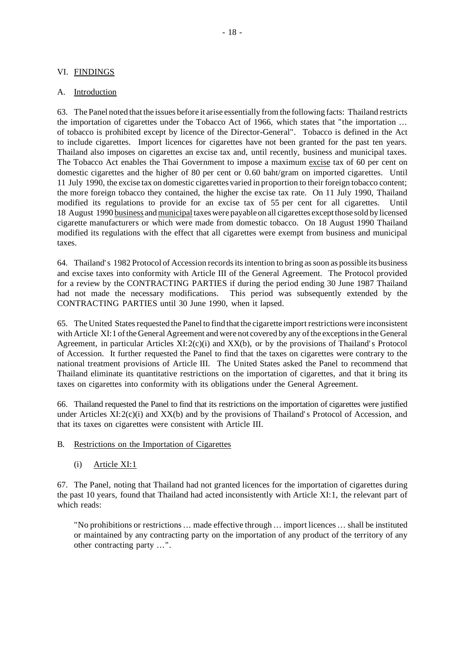# VI. FINDINGS

## A. Introduction

63. The Panel noted that the issues before it arise essentially fromthe following facts: Thailand restricts the importation of cigarettes under the Tobacco Act of 1966, which states that "the importation ... of tobacco is prohibited except by licence of the Director-General". Tobacco is defined in the Act to include cigarettes. Import licences for cigarettes have not been granted for the past ten years. Thailand also imposes on cigarettes an excise tax and, until recently, business and municipal taxes. The Tobacco Act enables the Thai Government to impose a maximum excise tax of 60 per cent on domestic cigarettes and the higher of 80 per cent or 0.60 baht/gram on imported cigarettes. Until 11 July 1990, the excise tax on domestic cigarettes varied in proportion to their foreign tobacco content; the more foreign tobacco they contained, the higher the excise tax rate. On 11 July 1990, Thailand modified its regulations to provide for an excise tax of 55 per cent for all cigarettes. Until 18 August 1990 business andmunicipal taxeswere payable on all cigarettes exceptthose sold by licensed cigarette manufacturers or which were made from domestic tobacco. On 18 August 1990 Thailand modified its regulations with the effect that all cigarettes were exempt from business and municipal taxes.

64. Thailand's 1982 Protocol of Accession recordsitsintention to bring assoon as possible its business and excise taxes into conformity with Article III of the General Agreement. The Protocol provided for a review by the CONTRACTING PARTIES if during the period ending 30 June 1987 Thailand had not made the necessary modifications. This period was subsequently extended by the CONTRACTING PARTIES until 30 June 1990, when it lapsed.

65. The United States requested the Panel to find that the cigarette import restrictions were inconsistent with Article XI:1 of the General Agreement and were not covered by any of the exceptions in the General Agreement, in particular Articles XI:2(c)(i) and XX(b), or by the provisions of Thailand's Protocol of Accession. It further requested the Panel to find that the taxes on cigarettes were contrary to the national treatment provisions of Article III. The United States asked the Panel to recommend that Thailand eliminate its quantitative restrictions on the importation of cigarettes, and that it bring its taxes on cigarettes into conformity with its obligations under the General Agreement.

66. Thailand requested the Panel to find that its restrictions on the importation of cigarettes were justified under Articles  $XI:2(c)(i)$  and  $XX(b)$  and by the provisions of Thailand's Protocol of Accession, and that its taxes on cigarettes were consistent with Article III.

- B. Restrictions on the Importation of Cigarettes
	- (i) Article XI:1

67. The Panel, noting that Thailand had not granted licences for the importation of cigarettes during the past 10 years, found that Thailand had acted inconsistently with Article XI:1, the relevant part of which reads:

"No prohibitions or restrictions... made effective through ... import licences ... shall be instituted or maintained by any contracting party on the importation of any product of the territory of any other contracting party ...".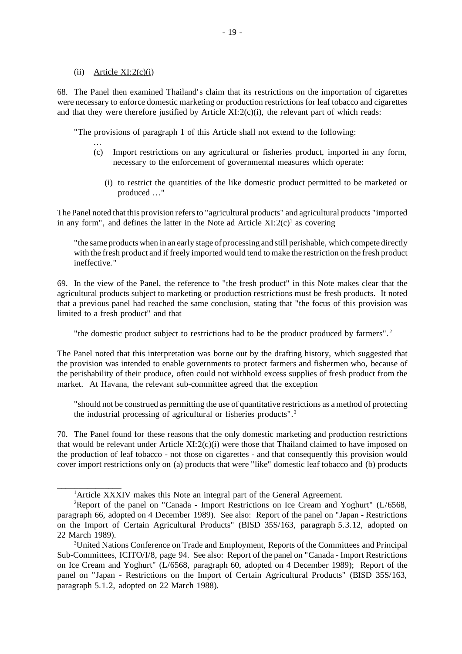#### $(ii)$  Article XI:2 $(c)(i)$

 $\overline{\phantom{a}}$  , we can also the contract of  $\overline{\phantom{a}}$ 

68. The Panel then examined Thailand's claim that its restrictions on the importation of cigarettes were necessary to enforce domestic marketing or production restrictions for leaf tobacco and cigarettes and that they were therefore justified by Article  $XI:2(c)(i)$ , the relevant part of which reads:

"The provisions of paragraph 1 of this Article shall not extend to the following:

- ... (c) Import restrictions on any agricultural or fisheries product, imported in any form, necessary to the enforcement of governmental measures which operate:
	- (i) to restrict the quantities of the like domestic product permitted to be marketed or produced ..."

The Panel noted that this provision refersto "agricultural products" and agricultural products "imported in any form", and defines the latter in the Note ad Article  $XI:2(c)^{1}$  as covering

"the same products when in an early stage of processing and still perishable, which compete directly with the fresh product and if freely imported would tend to make the restriction on the fresh product ineffective."

69. In the view of the Panel, the reference to "the fresh product" in this Note makes clear that the agricultural products subject to marketing or production restrictions must be fresh products. It noted that a previous panel had reached the same conclusion, stating that "the focus of this provision was limited to a fresh product" and that

"the domestic product subject to restrictions had to be the product produced by farmers".<sup>2</sup>

The Panel noted that this interpretation was borne out by the drafting history, which suggested that the provision was intended to enable governments to protect farmers and fishermen who, because of the perishability of their produce, often could not withhold excess supplies of fresh product from the market. At Havana, the relevant sub-committee agreed that the exception

"should not be construed as permitting the use of quantitative restrictions as a method of protecting the industrial processing of agricultural or fisheries products".<sup>3</sup>

70. The Panel found for these reasons that the only domestic marketing and production restrictions that would be relevant under Article XI:2(c)(i) were those that Thailand claimed to have imposed on the production of leaf tobacco - not those on cigarettes - and that consequently this provision would cover import restrictions only on (a) products that were "like" domestic leaf tobacco and (b) products

<sup>&</sup>lt;sup>1</sup>Article XXXIV makes this Note an integral part of the General Agreement.

<sup>&</sup>lt;sup>2</sup>Report of the panel on "Canada - Import Restrictions on Ice Cream and Yoghurt" (L/6568, paragraph 66, adopted on 4 December 1989). See also: Report of the panel on "Japan - Restrictions on the Import of Certain Agricultural Products" (BISD 35S/163, paragraph 5.3.12, adopted on 22 March 1989).

<sup>3</sup>United Nations Conference on Trade and Employment, Reports of the Committees and Principal Sub-Committees, ICITO/I/8, page 94. See also: Report of the panel on "Canada - Import Restrictions on Ice Cream and Yoghurt" (L/6568, paragraph 60, adopted on 4 December 1989); Report of the panel on "Japan - Restrictions on the Import of Certain Agricultural Products" (BISD 35S/163, paragraph 5.1.2, adopted on 22 March 1988).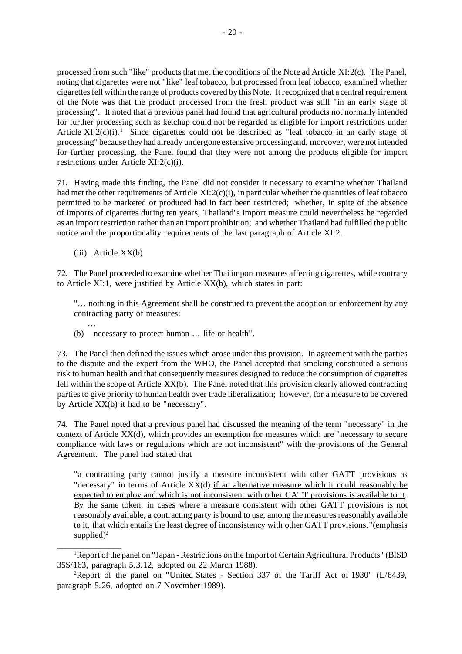processed from such "like" products that met the conditions of the Note ad Article XI:2(c). The Panel, noting that cigarettes were not "like" leaf tobacco, but processed from leaf tobacco, examined whether cigarettesfell within the range of products covered by this Note. Itrecognized that a centralrequirement of the Note was that the product processed from the fresh product was still "in an early stage of processing". It noted that a previous panel had found that agricultural products not normally intended for further processing such as ketchup could not be regarded as eligible for import restrictions under Article  $XI:\overline{2}(c)(i)$ .<sup>1</sup> Since cigarettes could not be described as "leaf tobacco in an early stage of processing" because they had already undergone extensive processing and, moreover, were not intended for further processing, the Panel found that they were not among the products eligible for import restrictions under Article XI:2(c)(i).

71. Having made this finding, the Panel did not consider it necessary to examine whether Thailand had met the other requirements of Article  $XI:2(c)(i)$ , in particular whether the quantities of leaf tobacco permitted to be marketed or produced had in fact been restricted; whether, in spite of the absence of imports of cigarettes during ten years, Thailand's import measure could nevertheless be regarded as an importrestriction rather than an import prohibition; and whether Thailand had fulfilled the public notice and the proportionality requirements of the last paragraph of Article XI:2.

(iii) Article XX(b)

\_\_\_\_\_\_\_\_\_\_\_\_\_\_\_

72. The Panel proceeded to examine whether Thai import measures affecting cigarettes, while contrary to Article XI:1, were justified by Article XX(b), which states in part:

"... nothing in this Agreement shall be construed to prevent the adoption or enforcement by any contracting party of measures:

... (b) necessary to protect human ... life or health".

73. The Panel then defined the issues which arose under this provision. In agreement with the parties to the dispute and the expert from the WHO, the Panel accepted that smoking constituted a serious risk to human health and that consequently measures designed to reduce the consumption of cigarettes fell within the scope of Article XX(b). The Panel noted that this provision clearly allowed contracting parties to give priority to human health over trade liberalization; however, for a measure to be covered by Article XX(b) it had to be "necessary".

74. The Panel noted that a previous panel had discussed the meaning of the term "necessary" in the context of Article XX(d), which provides an exemption for measures which are "necessary to secure compliance with laws or regulations which are not inconsistent" with the provisions of the General Agreement. The panel had stated that

"a contracting party cannot justify a measure inconsistent with other GATT provisions as "necessary" in terms of Article XX(d) if an alternative measure which it could reasonably be expected to employ and which is not inconsistent with other GATT provisions is available to it. By the same token, in cases where a measure consistent with other GATT provisions is not reasonably available, a contracting party is bound to use, among the measures reasonably available to it, that which entails the least degree of inconsistency with other GATT provisions."(emphasis supplied) $^2$ 

<sup>1</sup>Report of the panel on "Japan - Restrictions on the Import of Certain Agricultural Products" (BISD 35S/163, paragraph 5.3.12, adopted on 22 March 1988).

<sup>&</sup>lt;sup>2</sup>Report of the panel on "United States - Section 337 of the Tariff Act of 1930" (L/6439, paragraph 5.26, adopted on 7 November 1989).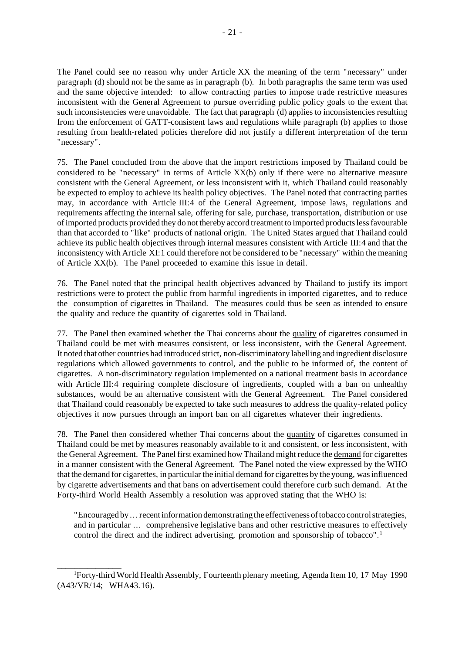The Panel could see no reason why under Article XX the meaning of the term "necessary" under paragraph (d) should not be the same as in paragraph (b). In both paragraphs the same term was used and the same objective intended: to allow contracting parties to impose trade restrictive measures inconsistent with the General Agreement to pursue overriding public policy goals to the extent that such inconsistencies were unavoidable. The fact that paragraph (d) applies to inconsistencies resulting from the enforcement of GATT-consistent laws and regulations while paragraph (b) applies to those resulting from health-related policies therefore did not justify a different interpretation of the term "necessary".

75. The Panel concluded from the above that the import restrictions imposed by Thailand could be considered to be "necessary" in terms of Article  $XX(b)$  only if there were no alternative measure consistent with the General Agreement, or less inconsistent with it, which Thailand could reasonably be expected to employ to achieve its health policy objectives. The Panel noted that contracting parties may, in accordance with Article III:4 of the General Agreement, impose laws, regulations and requirements affecting the internal sale, offering for sale, purchase, transportation, distribution or use ofimported products provided they do not thereby accord treatment to imported productslessfavourable than that accorded to "like" products of national origin. The United States argued that Thailand could achieve its public health objectives through internal measures consistent with Article III:4 and that the inconsistency with Article XI:1 could therefore not be considered to be "necessary" within the meaning of Article XX(b). The Panel proceeded to examine this issue in detail.

76. The Panel noted that the principal health objectives advanced by Thailand to justify its import restrictions were to protect the public from harmful ingredients in imported cigarettes, and to reduce the consumption of cigarettes in Thailand. The measures could thus be seen as intended to ensure the quality and reduce the quantity of cigarettes sold in Thailand.

77. The Panel then examined whether the Thai concerns about the quality of cigarettes consumed in Thailand could be met with measures consistent, or less inconsistent, with the General Agreement. It noted that other countries had introduced strict, non-discriminatory labelling and ingredient disclosure regulations which allowed governments to control, and the public to be informed of, the content of cigarettes. A non-discriminatory regulation implemented on a national treatment basis in accordance with Article III:4 requiring complete disclosure of ingredients, coupled with a ban on unhealthy substances, would be an alternative consistent with the General Agreement. The Panel considered that Thailand could reasonably be expected to take such measures to address the quality-related policy objectives it now pursues through an import ban on all cigarettes whatever their ingredients.

78. The Panel then considered whether Thai concerns about the quantity of cigarettes consumed in Thailand could be met by measures reasonably available to it and consistent, or less inconsistent, with the General Agreement. The Panel first examined how Thailand might reduce the demand for cigarettes in a manner consistent with the General Agreement. The Panel noted the view expressed by the WHO that the demand for cigarettes, in particular the initial demand for cigarettes by the young, was influenced by cigarette advertisements and that bans on advertisement could therefore curb such demand. At the Forty-third World Health Assembly a resolution was approved stating that the WHO is:

"Encouraged by ... recent information demonstrating the effectiveness of tobacco control strategies, and in particular ... comprehensive legislative bans and other restrictive measures to effectively control the direct and the indirect advertising, promotion and sponsorship of tobacco".<sup>1</sup>

 $\overline{\phantom{a}}$  , where  $\overline{\phantom{a}}$ 

<sup>1</sup>Forty-third World Health Assembly, Fourteenth plenary meeting, Agenda Item 10, 17 May 1990 (A43/VR/14; WHA43.16).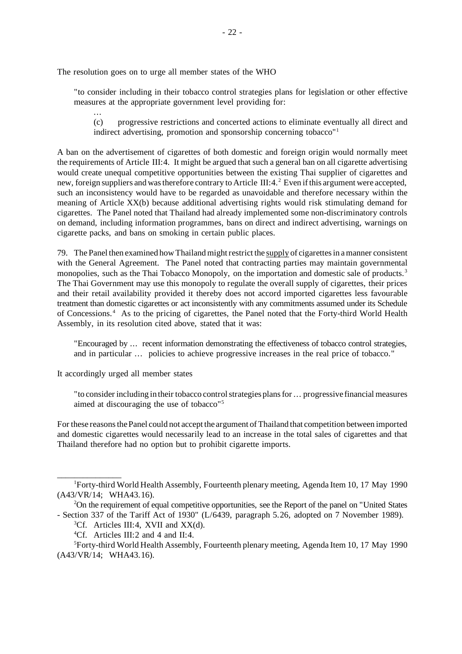The resolution goes on to urge all member states of the WHO

"to consider including in their tobacco control strategies plans for legislation or other effective measures at the appropriate government level providing for:

... (c) progressive restrictions and concerted actions to eliminate eventually all direct and indirect advertising, promotion and sponsorship concerning tobacco"<sup>1</sup>

A ban on the advertisement of cigarettes of both domestic and foreign origin would normally meet the requirements of Article III:4. It might be argued that such a general ban on all cigarette advertising would create unequal competitive opportunities between the existing Thai supplier of cigarettes and new, foreign suppliers and was therefore contrary to Article III: 4.<sup>2</sup> Even if this argument were accepted, such an inconsistency would have to be regarded as unavoidable and therefore necessary within the meaning of Article XX(b) because additional advertising rights would risk stimulating demand for cigarettes. The Panel noted that Thailand had already implemented some non-discriminatory controls on demand, including information programmes, bans on direct and indirect advertising, warnings on cigarette packs, and bans on smoking in certain public places.

79. The Panel then examined how Thailand might restrict the supply of cigarettes in a manner consistent with the General Agreement. The Panel noted that contracting parties may maintain governmental monopolies, such as the Thai Tobacco Monopoly, on the importation and domestic sale of products.<sup>3</sup> The Thai Government may use this monopoly to regulate the overall supply of cigarettes, their prices and their retail availability provided it thereby does not accord imported cigarettes less favourable treatment than domestic cigarettes or act inconsistently with any commitments assumed under its Schedule of Concessions.<sup>4</sup> As to the pricing of cigarettes, the Panel noted that the Forty-third World Health Assembly, in its resolution cited above, stated that it was:

"Encouraged by ... recent information demonstrating the effectiveness of tobacco control strategies, and in particular ... policies to achieve progressive increases in the real price of tobacco."

It accordingly urged all member states

 $\overline{\phantom{a}}$  , where  $\overline{\phantom{a}}$ 

"to consider including in their tobacco control strategies plans for ... progressive financial measures aimed at discouraging the use of tobacco"<sup>5</sup>

For these reasons the Panel could not accept the argument of Thailand that competition between imported and domestic cigarettes would necessarily lead to an increase in the total sales of cigarettes and that Thailand therefore had no option but to prohibit cigarette imports.

<sup>1</sup>Forty-third World Health Assembly, Fourteenth plenary meeting, Agenda Item 10, 17 May 1990 (A43/VR/14; WHA43.16).

<sup>2</sup>On the requirement of equal competitive opportunities, see the Report of the panel on "United States - Section 337 of the Tariff Act of 1930" (L/6439, paragraph 5.26, adopted on 7 November 1989).

 ${}^{3}Cf$ . Articles III:4, XVII and XX(d).

<sup>&</sup>lt;sup>4</sup>Cf. Articles III:2 and 4 and II:4.

<sup>5</sup>Forty-third World Health Assembly, Fourteenth plenary meeting, Agenda Item 10, 17 May 1990 (A43/VR/14; WHA43.16).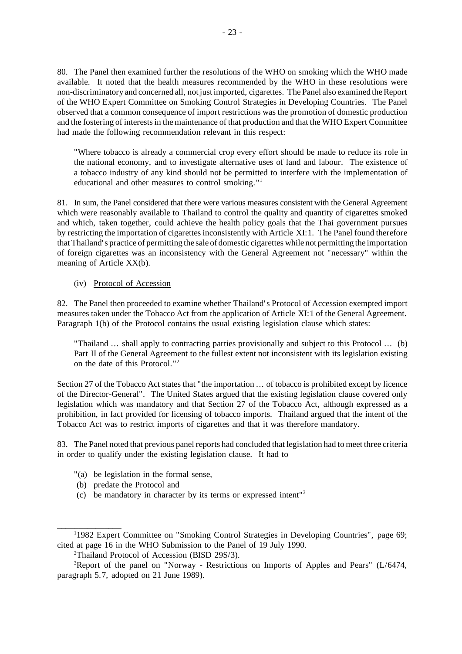80. The Panel then examined further the resolutions of the WHO on smoking which the WHO made available. It noted that the health measures recommended by the WHO in these resolutions were non-discriminatory and concerned all, not just imported, cigarettes. The Panel also examined theReport of the WHO Expert Committee on Smoking Control Strategies in Developing Countries. The Panel observed that a common consequence of import restrictions was the promotion of domestic production and the fostering of interestsin the maintenance of that production and that the WHO Expert Committee had made the following recommendation relevant in this respect:

"Where tobacco is already a commercial crop every effort should be made to reduce its role in the national economy, and to investigate alternative uses of land and labour. The existence of a tobacco industry of any kind should not be permitted to interfere with the implementation of educational and other measures to control smoking."<sup>1</sup>

81. In sum, the Panel considered that there were various measures consistent with the General Agreement which were reasonably available to Thailand to control the quality and quantity of cigarettes smoked and which, taken together, could achieve the health policy goals that the Thai government pursues by restricting the importation of cigarettes inconsistently with Article XI:1. The Panel found therefore thatThailand's practice of permitting the sale of domestic cigarettes while not permitting the importation of foreign cigarettes was an inconsistency with the General Agreement not "necessary" within the meaning of Article XX(b).

## (iv) Protocol of Accession

82. The Panel then proceeded to examine whether Thailand's Protocol of Accession exempted import measures taken under the Tobacco Act from the application of Article XI:1 of the General Agreement. Paragraph 1(b) of the Protocol contains the usual existing legislation clause which states:

"Thailand ... shall apply to contracting parties provisionally and subject to this Protocol ... (b) Part II of the General Agreement to the fullest extent not inconsistent with its legislation existing on the date of this Protocol."<sup>2</sup>

Section 27 of the Tobacco Act states that "the importation ... of tobacco is prohibited except by licence of the Director-General". The United States argued that the existing legislation clause covered only legislation which was mandatory and that Section 27 of the Tobacco Act, although expressed as a prohibition, in fact provided for licensing of tobacco imports. Thailand argued that the intent of the Tobacco Act was to restrict imports of cigarettes and that it was therefore mandatory.

83. The Panel noted that previous panel reports had concluded that legislation had to meet three criteria in order to qualify under the existing legislation clause. It had to

- "(a) be legislation in the formal sense,
- (b) predate the Protocol and

\_\_\_\_\_\_\_\_\_\_\_\_\_\_\_

(c) be mandatory in character by its terms or expressed intent"<sup>3</sup>

<sup>&</sup>lt;sup>1</sup>1982 Expert Committee on "Smoking Control Strategies in Developing Countries", page 69; cited at page 16 in the WHO Submission to the Panel of 19 July 1990.

<sup>2</sup>Thailand Protocol of Accession (BISD 29S/3).

 $3$ Report of the panel on "Norway - Restrictions on Imports of Apples and Pears" ( $L/6474$ , paragraph 5.7, adopted on 21 June 1989).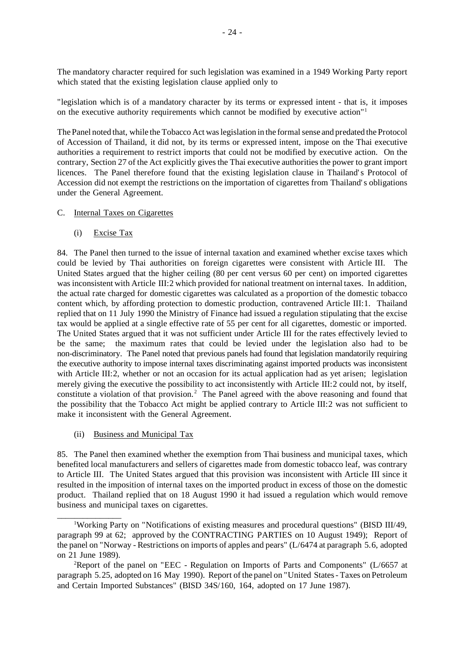The mandatory character required for such legislation was examined in a 1949 Working Party report which stated that the existing legislation clause applied only to

"legislation which is of a mandatory character by its terms or expressed intent - that is, it imposes on the executive authority requirements which cannot be modified by executive action"<sup>1</sup>

The Panel noted that, while the Tobacco Act waslegislation in the formalsense and predated the Protocol of Accession of Thailand, it did not, by its terms or expressed intent, impose on the Thai executive authorities a requirement to restrict imports that could not be modified by executive action. On the contrary, Section 27 of the Act explicitly gives the Thai executive authorities the power to grant import licences. The Panel therefore found that the existing legislation clause in Thailand's Protocol of Accession did not exempt the restrictions on the importation of cigarettes from Thailand's obligations under the General Agreement.

#### C. Internal Taxes on Cigarettes

(i) Excise Tax

84. The Panel then turned to the issue of internal taxation and examined whether excise taxes which could be levied by Thai authorities on foreign cigarettes were consistent with Article III. The United States argued that the higher ceiling (80 per cent versus 60 per cent) on imported cigarettes was inconsistent with Article III:2 which provided for national treatment on internal taxes. In addition, the actual rate charged for domestic cigarettes was calculated as a proportion of the domestic tobacco content which, by affording protection to domestic production, contravened Article III:1. Thailand replied that on 11 July 1990 the Ministry of Finance had issued a regulation stipulating that the excise tax would be applied at a single effective rate of 55 per cent for all cigarettes, domestic or imported. The United States argued that it was not sufficient under Article III for the rates effectively levied to be the same; the maximum rates that could be levied under the legislation also had to be non-discriminatory. The Panel noted that previous panels had found that legislation mandatorily requiring the executive authority to impose internal taxes discriminating against imported products was inconsistent with Article III:2, whether or not an occasion for its actual application had as yet arisen; legislation merely giving the executive the possibility to act inconsistently with Article III:2 could not, by itself, constitute a violation of that provision.<sup>2</sup> The Panel agreed with the above reasoning and found that the possibility that the Tobacco Act might be applied contrary to Article III:2 was not sufficient to make it inconsistent with the General Agreement.

(ii) Business and Municipal Tax

 $\overline{\phantom{a}}$  , where  $\overline{\phantom{a}}$ 

85. The Panel then examined whether the exemption from Thai business and municipal taxes, which benefited local manufacturers and sellers of cigarettes made from domestic tobacco leaf, was contrary to Article III. The United States argued that this provision was inconsistent with Article III since it resulted in the imposition of internal taxes on the imported product in excess of those on the domestic product. Thailand replied that on 18 August 1990 it had issued a regulation which would remove business and municipal taxes on cigarettes.

<sup>1</sup>Working Party on "Notifications of existing measures and procedural questions" (BISD III/49, paragraph 99 at 62; approved by the CONTRACTING PARTIES on 10 August 1949); Report of the panel on "Norway - Restrictions on imports of apples and pears" (L/6474 at paragraph 5.6, adopted on 21 June 1989).

<sup>&</sup>lt;sup>2</sup>Report of the panel on "EEC - Regulation on Imports of Parts and Components" ( $L/6657$  at paragraph 5.25, adopted on 16 May 1990). Report of the panel on "United States- Taxes on Petroleum and Certain Imported Substances" (BISD 34S/160, 164, adopted on 17 June 1987).